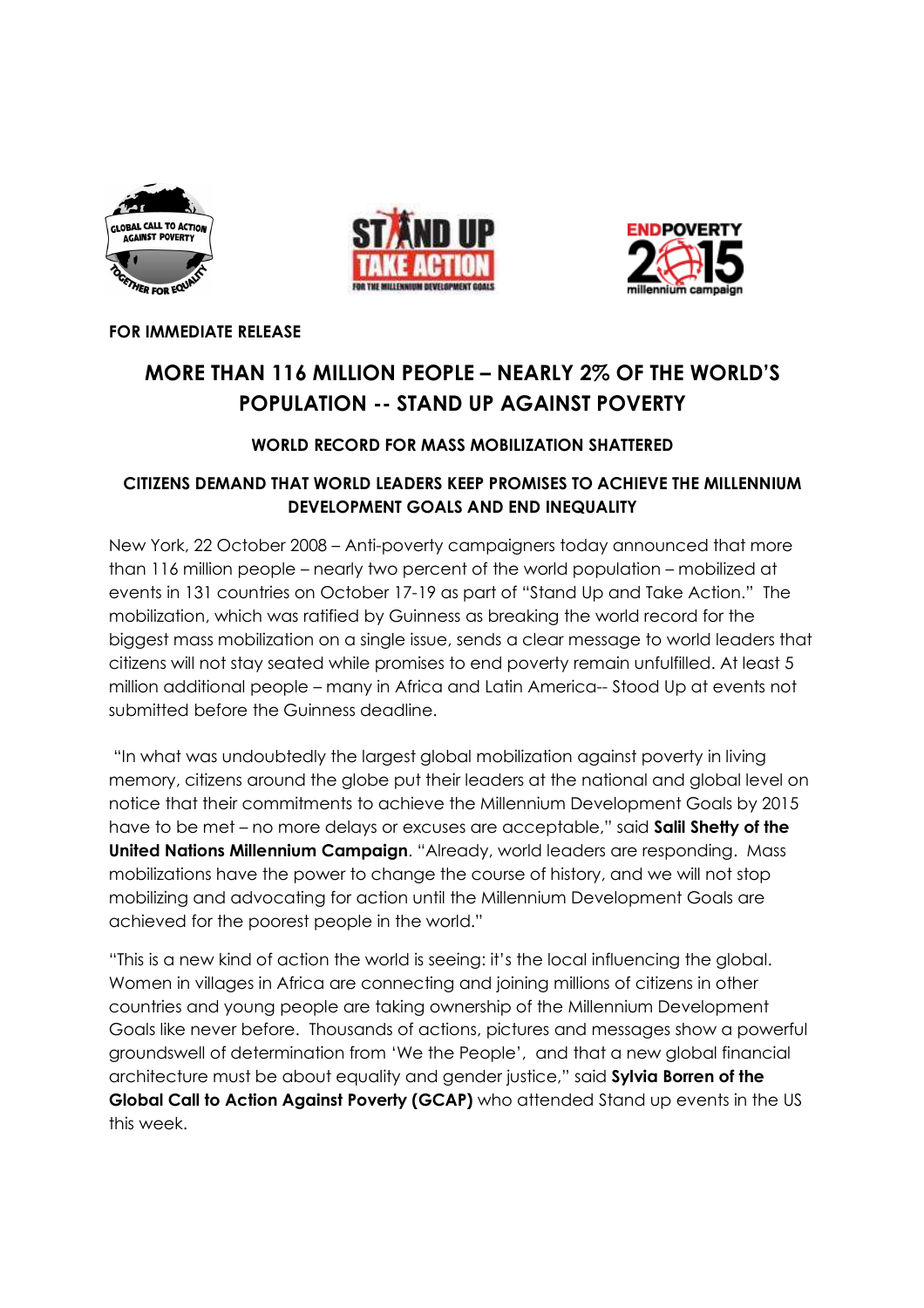





FOR IMMEDIATE RELEASE

# MORE THAN 116 MILLION PEOPLE – NEARLY 2% OF THE WORLD'S POPULATION -- STAND UP AGAINST POVERTY

## WORLD RECORD FOR MASS MOBILIZATION SHATTERED

# CITIZENS DEMAND THAT WORLD LEADERS KEEP PROMISES TO ACHIEVE THE MILLENNIUM DEVELOPMENT GOALS AND END INEQUALITY

New York, 22 October 2008 – Anti-poverty campaigners today announced that more than 116 million people – nearly two percent of the world population – mobilized at events in 131 countries on October 17-19 as part of "Stand Up and Take Action." The mobilization, which was ratified by Guinness as breaking the world record for the biggest mass mobilization on a single issue, sends a clear message to world leaders that citizens will not stay seated while promises to end poverty remain unfulfilled. At least 5 million additional people – many in Africa and Latin America-- Stood Up at events not submitted before the Guinness deadline.

 "In what was undoubtedly the largest global mobilization against poverty in living memory, citizens around the globe put their leaders at the national and global level on notice that their commitments to achieve the Millennium Development Goals by 2015 have to be met – no more delays or excuses are acceptable," said Salil Shetty of the United Nations Millennium Campaign. "Already, world leaders are responding. Mass mobilizations have the power to change the course of history, and we will not stop mobilizing and advocating for action until the Millennium Development Goals are achieved for the poorest people in the world."

"This is a new kind of action the world is seeing: it's the local influencing the global. Women in villages in Africa are connecting and joining millions of citizens in other countries and young people are taking ownership of the Millennium Development Goals like never before. Thousands of actions, pictures and messages show a powerful groundswell of determination from 'We the People', and that a new global financial architecture must be about equality and gender justice," said Sylvia Borren of the Global Call to Action Against Poverty (GCAP) who attended Stand up events in the US this week.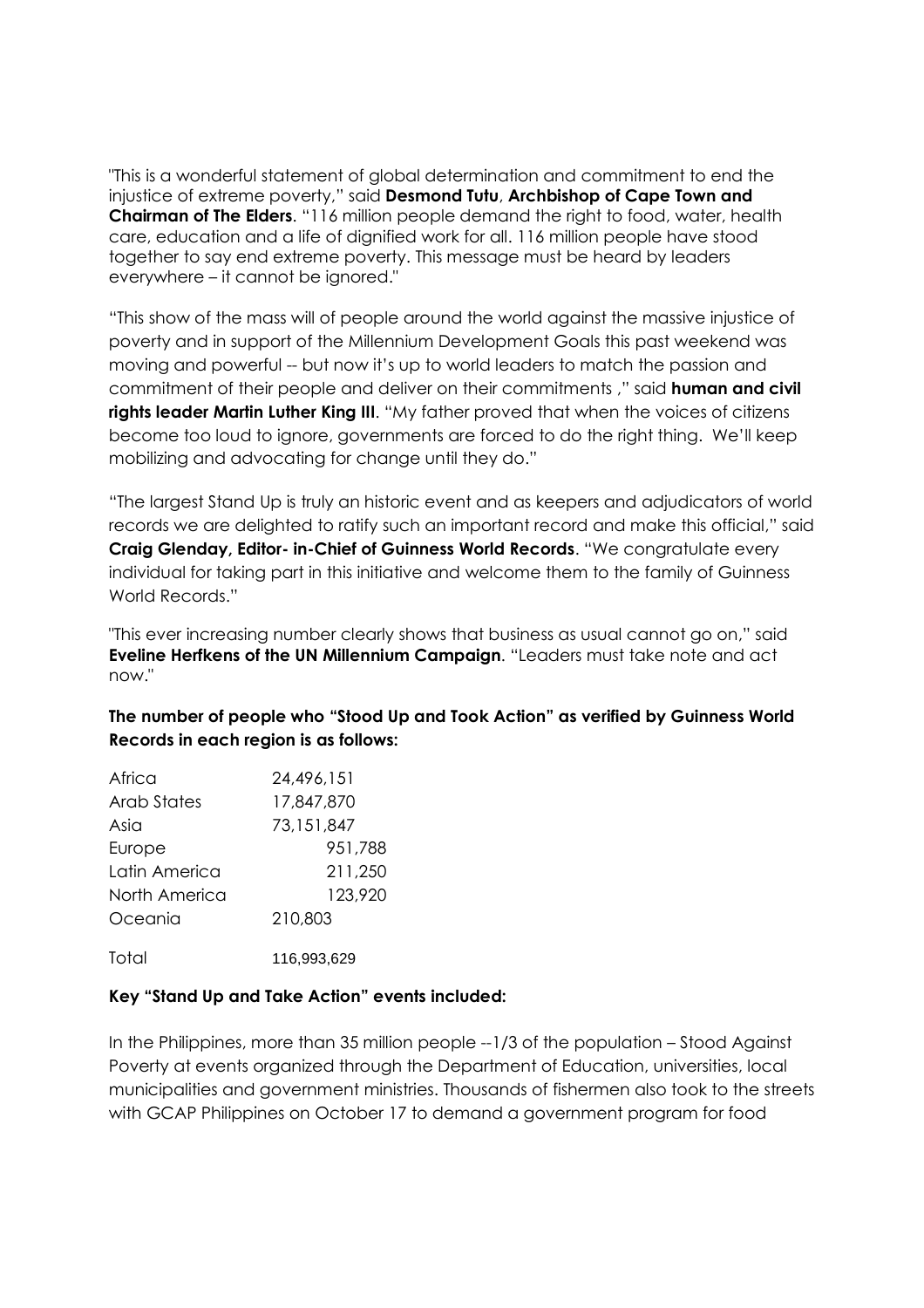"This is a wonderful statement of global determination and commitment to end the injustice of extreme poverty," said Desmond Tutu, Archbishop of Cape Town and Chairman of The Elders. "116 million people demand the right to food, water, health care, education and a life of dignified work for all. 116 million people have stood together to say end extreme poverty. This message must be heard by leaders everywhere – it cannot be ignored."

"This show of the mass will of people around the world against the massive injustice of poverty and in support of the Millennium Development Goals this past weekend was moving and powerful -- but now it's up to world leaders to match the passion and commitment of their people and deliver on their commitments ," said human and civil rights leader Martin Luther King III. "My father proved that when the voices of citizens become too loud to ignore, governments are forced to do the right thing. We'll keep mobilizing and advocating for change until they do."

"The largest Stand Up is truly an historic event and as keepers and adjudicators of world records we are delighted to ratify such an important record and make this official," said Craig Glenday, Editor- in-Chief of Guinness World Records. "We congratulate every individual for taking part in this initiative and welcome them to the family of Guinness World Records."

"This ever increasing number clearly shows that business as usual cannot go on," said Eveline Herfkens of the UN Millennium Campaign. "Leaders must take note and act now."

## The number of people who "Stood Up and Took Action" as verified by Guinness World Records in each region is as follows:

| Africa        | 24,496,151  |
|---------------|-------------|
| Arab States   | 17,847,870  |
| Asia          | 73,151,847  |
| Europe        | 951,788     |
| Latin America | 211,250     |
| North America | 123,920     |
| Oceania       | 210,803     |
| Total         | 116,993,629 |

#### Key "Stand Up and Take Action" events included:

In the Philippines, more than 35 million people --1/3 of the population – Stood Against Poverty at events organized through the Department of Education, universities, local municipalities and government ministries. Thousands of fishermen also took to the streets with GCAP Philippines on October 17 to demand a government program for food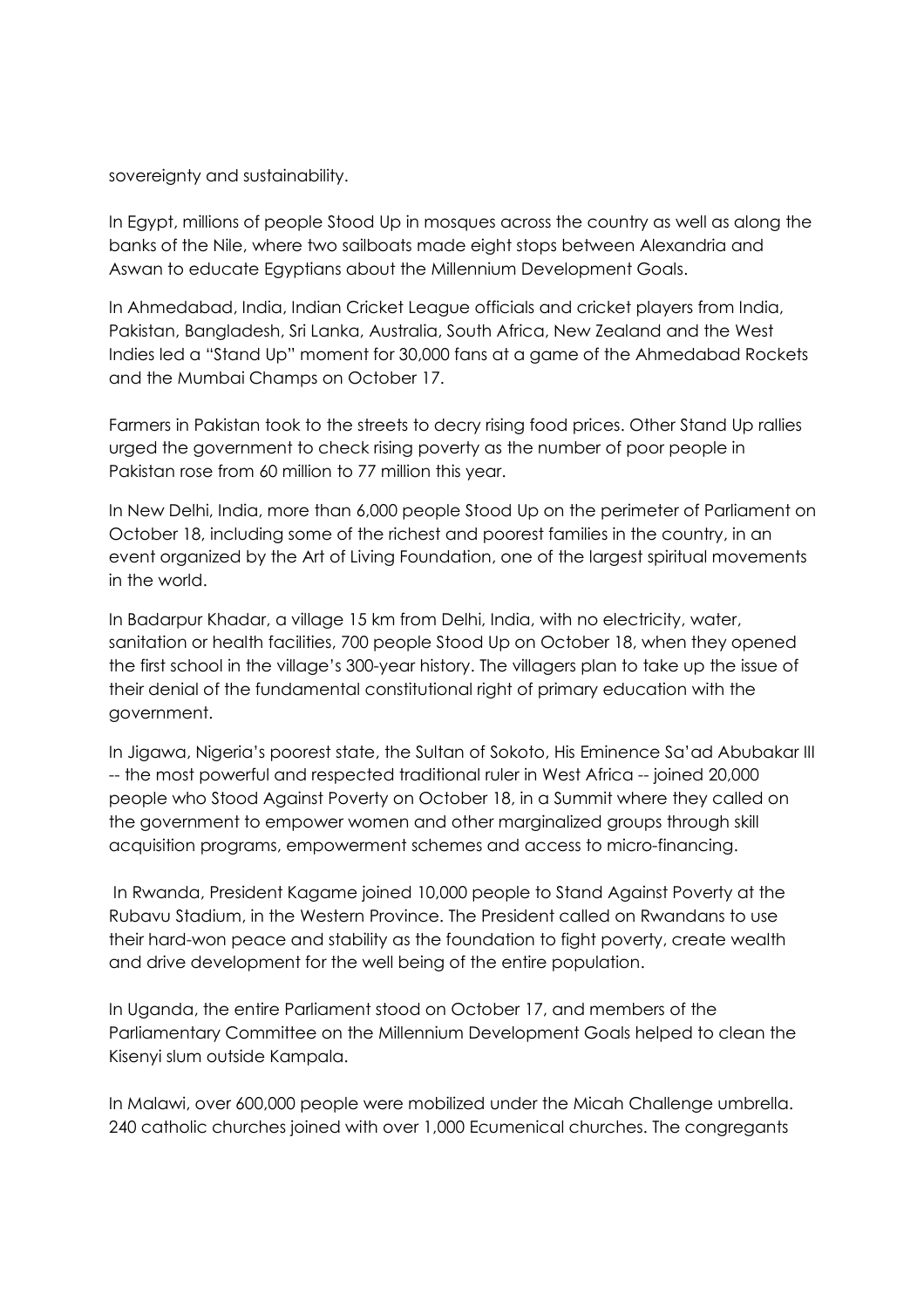sovereignty and sustainability.

In Egypt, millions of people Stood Up in mosques across the country as well as along the banks of the Nile, where two sailboats made eight stops between Alexandria and Aswan to educate Egyptians about the Millennium Development Goals.

In Ahmedabad, India, Indian Cricket League officials and cricket players from India, Pakistan, Bangladesh, Sri Lanka, Australia, South Africa, New Zealand and the West Indies led a "Stand Up" moment for 30,000 fans at a game of the Ahmedabad Rockets and the Mumbai Champs on October 17.

Farmers in Pakistan took to the streets to decry rising food prices. Other Stand Up rallies urged the government to check rising poverty as the number of poor people in Pakistan rose from 60 million to 77 million this year.

In New Delhi, India, more than 6,000 people Stood Up on the perimeter of Parliament on October 18, including some of the richest and poorest families in the country, in an event organized by the Art of Living Foundation, one of the largest spiritual movements in the world.

In Badarpur Khadar, a village 15 km from Delhi, India, with no electricity, water, sanitation or health facilities, 700 people Stood Up on October 18, when they opened the first school in the village's 300-year history. The villagers plan to take up the issue of their denial of the fundamental constitutional right of primary education with the government.

In Jigawa, Nigeria's poorest state, the Sultan of Sokoto, His Eminence Sa'ad Abubakar III -- the most powerful and respected traditional ruler in West Africa -- joined 20,000 people who Stood Against Poverty on October 18, in a Summit where they called on the government to empower women and other marginalized groups through skill acquisition programs, empowerment schemes and access to micro-financing.

 In Rwanda, President Kagame joined 10,000 people to Stand Against Poverty at the Rubavu Stadium, in the Western Province. The President called on Rwandans to use their hard-won peace and stability as the foundation to fight poverty, create wealth and drive development for the well being of the entire population.

In Uganda, the entire Parliament stood on October 17, and members of the Parliamentary Committee on the Millennium Development Goals helped to clean the Kisenyi slum outside Kampala.

In Malawi, over 600,000 people were mobilized under the Micah Challenge umbrella. 240 catholic churches joined with over 1,000 Ecumenical churches. The congregants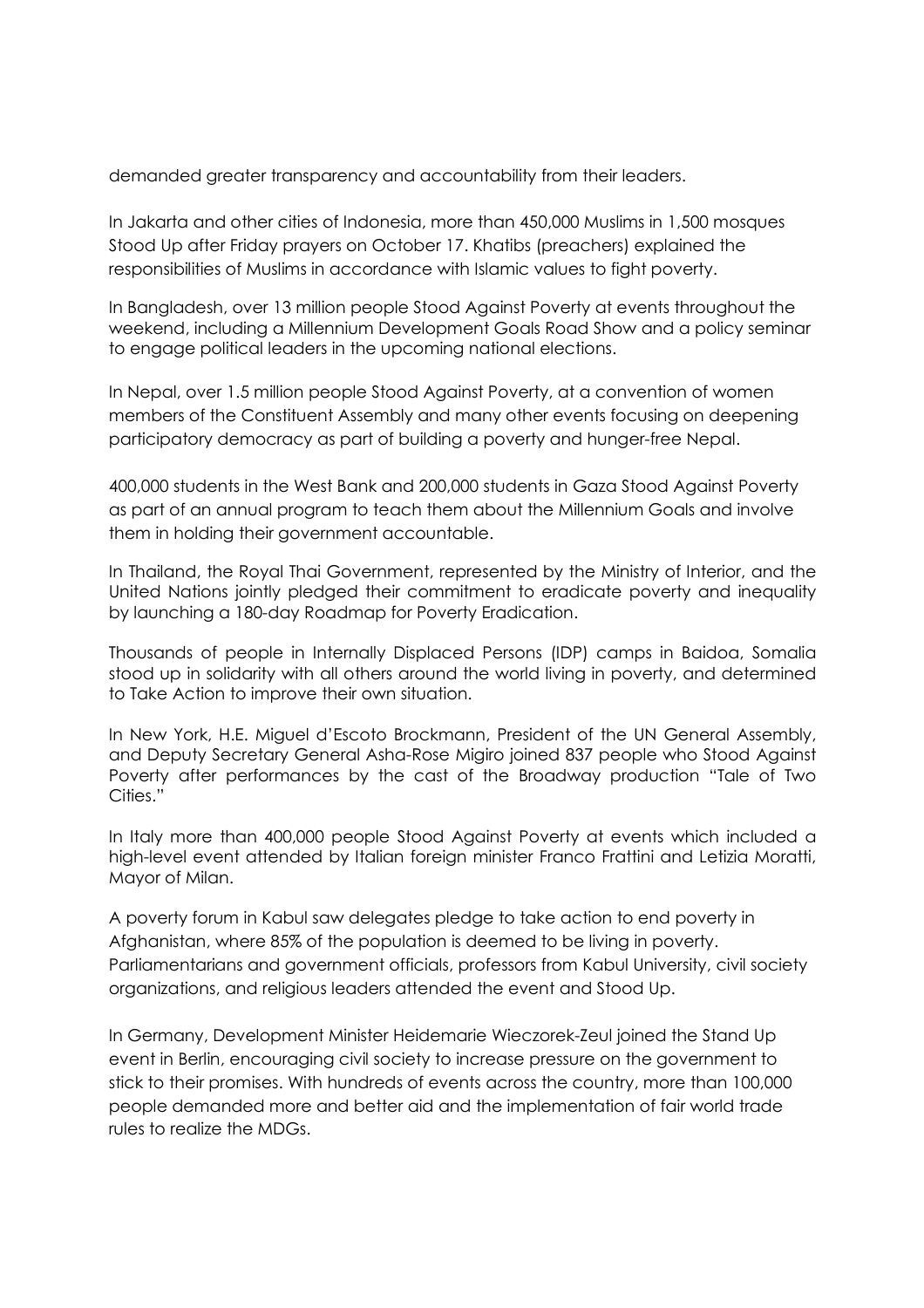demanded greater transparency and accountability from their leaders.

In Jakarta and other cities of Indonesia, more than 450,000 Muslims in 1,500 mosques Stood Up after Friday prayers on October 17. Khatibs (preachers) explained the responsibilities of Muslims in accordance with Islamic values to fight poverty.

In Bangladesh, over 13 million people Stood Against Poverty at events throughout the weekend, including a Millennium Development Goals Road Show and a policy seminar to engage political leaders in the upcoming national elections.

In Nepal, over 1.5 million people Stood Against Poverty, at a convention of women members of the Constituent Assembly and many other events focusing on deepening participatory democracy as part of building a poverty and hunger-free Nepal.

400,000 students in the West Bank and 200,000 students in Gaza Stood Against Poverty as part of an annual program to teach them about the Millennium Goals and involve them in holding their government accountable.

In Thailand, the Royal Thai Government, represented by the Ministry of Interior, and the United Nations jointly pledged their commitment to eradicate poverty and inequality by launching a 180-day Roadmap for Poverty Eradication.

Thousands of people in Internally Displaced Persons (IDP) camps in Baidoa, Somalia stood up in solidarity with all others around the world living in poverty, and determined to Take Action to improve their own situation.

In New York, H.E. Miguel d'Escoto Brockmann, President of the UN General Assembly, and Deputy Secretary General Asha-Rose Migiro joined 837 people who Stood Against Poverty after performances by the cast of the Broadway production "Tale of Two Cities."

In Italy more than 400,000 people Stood Against Poverty at events which included a high-level event attended by Italian foreign minister Franco Frattini and Letizia Moratti, Mayor of Milan.

A poverty forum in Kabul saw delegates pledge to take action to end poverty in Afghanistan, where 85% of the population is deemed to be living in poverty. Parliamentarians and government officials, professors from Kabul University, civil society organizations, and religious leaders attended the event and Stood Up.

In Germany, Development Minister Heidemarie Wieczorek-Zeul joined the Stand Up event in Berlin, encouraging civil society to increase pressure on the government to stick to their promises. With hundreds of events across the country, more than 100,000 people demanded more and better aid and the implementation of fair world trade rules to realize the MDGs.